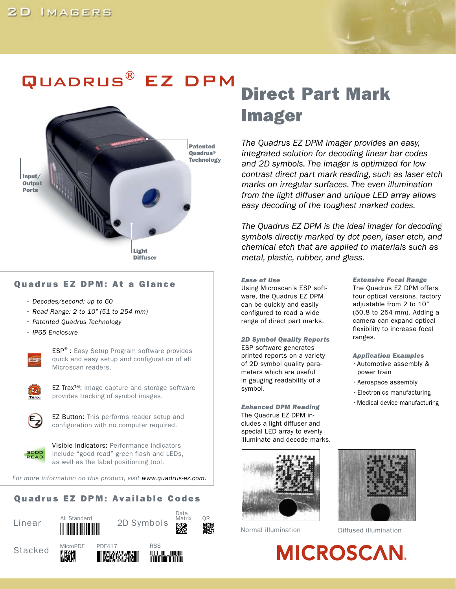# Quadrus® EZ DPM



### Quadrus EZ DPM: At a Glance

- *Decodes/second: up to 60*
- *Read Range: 2 to 10" (51 to 254 mm)*
- *Patented Quadrus Technology*
- *IP65 Enclosure*



ESP®: Easy Setup Program software provides quick and easy setup and configuration of all Microscan readers.



EZ Trax™: Image capture and storage software provides tracking of symbol images.



EZ Button: This performs reader setup and configuration with no computer required.



Visible Indicators: Performance indicators include "good read" green flash and LEDs, as well as the label positioning tool.

*For more information on this product, visit www.quadrus-ez.com.*

## Quadrus EZ DPM: Available Codes











# Direct Part Mark Imager

*The Quadrus EZ DPM imager provides an easy, integrated solution for decoding linear bar codes and 2D symbols. The imager is optimized for low contrast direct part mark reading, such as laser etch marks on irregular surfaces. The even illumination from the light diffuser and unique LED array allows easy decoding of the toughest marked codes.* 

*The Quadrus EZ DPM is the ideal imager for decoding symbols directly marked by dot peen, laser etch, and chemical etch that are applied to materials such as metal, plastic, rubber, and glass.* 

#### *Ease of Use*

Using Microscan's ESP software, the Quadrus EZ DPM can be quickly and easily configured to read a wide range of direct part marks.

*2D Symbol Quality Reports*  ESP software generates printed reports on a variety of 2D symbol quality parameters which are useful in gauging readability of a symbol.

*Enhanced DPM Reading*  The Quadrus EZ DPM includes a light diffuser and special LED array to evenly illuminate and decode marks.



*Extensive Focal Range*  The Quadrus EZ DPM offers four optical versions, factory adiustable from 2 to 10" (50.8 to 254 mm). Adding a camera can expand optical flexibility to increase focal ranges.

*Application Examples*  •Automotive assembly & power train

- •Aerospace assembly
- •Electronics manufacturing
- •Medical device manufacturing



Normal illumination Diffused illumination